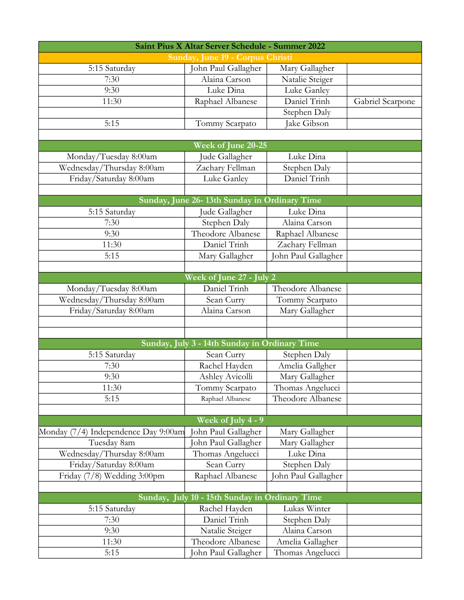| Saint Pius X Altar Server Schedule - Summer 2022 |                                               |                     |                  |  |
|--------------------------------------------------|-----------------------------------------------|---------------------|------------------|--|
| Sunday, June 19 - Corpus Christi                 |                                               |                     |                  |  |
| 5:15 Saturday                                    | John Paul Gallagher                           | Mary Gallagher      |                  |  |
| 7:30                                             | Alaina Carson                                 | Natalie Steiger     |                  |  |
| 9:30                                             | Luke Dina                                     | Luke Ganley         |                  |  |
| 11:30                                            | Raphael Albanese                              | Daniel Trinh        | Gabriel Scarpone |  |
|                                                  |                                               | Stephen Daly        |                  |  |
| 5:15                                             | Tommy Scarpato                                | Jake Gibson         |                  |  |
|                                                  |                                               |                     |                  |  |
|                                                  | Week of June 20-25                            |                     |                  |  |
| Monday/Tuesday 8:00am                            | Jude Gallagher                                | Luke Dina           |                  |  |
| Wednesday/Thursday 8:00am                        | Zachary Fellman                               | Stephen Daly        |                  |  |
| Friday/Saturday 8:00am                           | Luke Ganley                                   | Daniel Trinh        |                  |  |
|                                                  |                                               |                     |                  |  |
|                                                  | Sunday, June 26-13th Sunday in Ordinary Time  |                     |                  |  |
| 5:15 Saturday                                    | Jude Gallagher                                | Luke Dina           |                  |  |
| 7:30                                             | Stephen Daly                                  | Alaina Carson       |                  |  |
| 9:30                                             | Theodore Albanese                             | Raphael Albanese    |                  |  |
| 11:30                                            | Daniel Trinh                                  | Zachary Fellman     |                  |  |
| 5:15                                             | Mary Gallagher                                | John Paul Gallagher |                  |  |
|                                                  |                                               |                     |                  |  |
|                                                  | Week of June 27 - July 2                      |                     |                  |  |
| Monday/Tuesday 8:00am                            | Daniel Trinh                                  | Theodore Albanese   |                  |  |
| Wednesday/Thursday 8:00am                        | Sean Curry                                    | Tommy Scarpato      |                  |  |
| Friday/Saturday 8:00am                           | Alaina Carson                                 | Mary Gallagher      |                  |  |
|                                                  |                                               |                     |                  |  |
|                                                  |                                               |                     |                  |  |
|                                                  | Sunday, July 3 - 14th Sunday in Ordinary Time |                     |                  |  |
| 5:15 Saturday                                    | Sean Curry                                    | Stephen Daly        |                  |  |
| 7:30                                             | Rachel Hayden                                 | Amelia Gallgher     |                  |  |
| 9:30                                             | Ashley Avicolli                               | Mary Gallagher      |                  |  |
| 11:30                                            | Tommy Scarpato                                | Thomas Angelucci    |                  |  |
| 5:15                                             | Raphael Albanese                              | Theodore Albanese   |                  |  |
|                                                  |                                               |                     |                  |  |
|                                                  | Week of July 4 - 9                            |                     |                  |  |
| Monday (7/4) Independence Day 9:00am             | John Paul Gallagher                           | Mary Gallagher      |                  |  |
| Tuesday 8am                                      | ohn Paul Gallagher                            | Mary Gallagher      |                  |  |
| Wednesday/Thursday 8:00am                        | Thomas Angelucci                              | Luke Dina           |                  |  |
| Friday/Saturday 8:00am                           | Sean Curry                                    | Stephen Daly        |                  |  |
| Friday (7/8) Wedding 3:00pm                      | Raphael Albanese                              | Ohn Paul Gallagher  |                  |  |
|                                                  |                                               |                     |                  |  |
| Sunday,                                          | July 10 - 15th Sunday in Ordinary Time        |                     |                  |  |
| 5:15 Saturday                                    | Rachel Hayden                                 | Lukas Winter        |                  |  |
| 7:30                                             | Daniel Trinh                                  | Stephen Daly        |                  |  |
| 9:30                                             | Natalie Steiger                               | Alaina Carson       |                  |  |
| 11:30                                            | Theodore Albanese                             | Amelia Gallagher    |                  |  |
| 5:15                                             | John Paul Gallagher                           | Thomas Angelucci    |                  |  |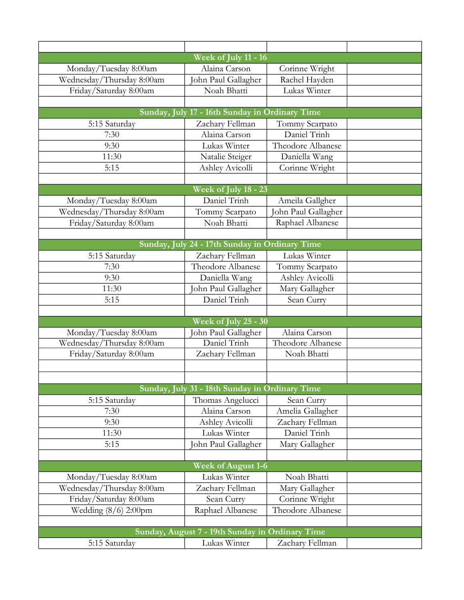|                           | Week of July 11 - 16                            |                     |
|---------------------------|-------------------------------------------------|---------------------|
| Monday/Tuesday 8:00am     | Alaina Carson                                   | Corinne Wright      |
| Wednesday/Thursday 8:00am | John Paul Gallagher                             | Rachel Hayden       |
| Friday/Saturday 8:00am    | Noah Bhatti                                     | Lukas Winter        |
|                           |                                                 |                     |
|                           | Sunday, July 17 - 16th Sunday in Ordinary Time  |                     |
| 5:15 Saturday             | Zachary Fellman                                 | Tommy Scarpato      |
| 7:30                      | Alaina Carson                                   | Daniel Trinh        |
| 9:30                      | Lukas Winter                                    | Theodore Albanese   |
| 11:30                     | Natalie Steiger                                 | Daniella Wang       |
| 5:15                      | Ashley Avicolli                                 | Corinne Wright      |
|                           |                                                 |                     |
|                           | Week of July 18 - 23                            |                     |
| Monday/Tuesday 8:00am     | Daniel Trinh                                    | Ameila Gallgher     |
| Wednesday/Thursday 8:00am | Tommy Scarpato                                  | John Paul Gallagher |
| Friday/Saturday 8:00am    | Noah Bhatti                                     | Raphael Albanese    |
|                           |                                                 |                     |
|                           | Sunday, July 24 - 17th Sunday in Ordinary Time  |                     |
| 5:15 Saturday             | Zachary Fellman                                 | Lukas Winter        |
| 7:30                      | Theodore Albanese                               | Tommy Scarpato      |
| 9:30                      | Daniella Wang                                   | Ashley Avicolli     |
| 11:30                     | John Paul Gallagher                             | Mary Gallagher      |
| 5:15                      | Daniel Trinh                                    | Sean Curry          |
|                           |                                                 |                     |
|                           | Week of July 25 - 30                            |                     |
| Monday/Tuesday 8:00am     | John Paul Gallagher                             | Alaina Carson       |
| Wednesday/Thursday 8:00am | Daniel Trinh                                    | Theodore Albanese   |
| Friday/Saturday 8:00am    | Zachary Fellman                                 | Noah Bhatti         |
|                           |                                                 |                     |
|                           |                                                 |                     |
|                           | Sunday, July 31 - 18th Sunday in Ordinary Time  |                     |
| 5:15 Saturday             | Thomas Angelucci                                | Sean Curry          |
| 7:30                      | Alaina Carson                                   | Amelia Gallagher    |
| 9:30                      | Ashley Avicolli                                 | Zachary Fellman     |
| 11:30                     | Lukas Winter                                    | Daniel Trinh        |
| 5:15                      | John Paul Gallagher                             | Mary Gallagher      |
|                           |                                                 |                     |
|                           | <b>Week of August 1-6</b>                       |                     |
| Monday/Tuesday 8:00am     | Lukas Winter                                    | Noah Bhatti         |
| Wednesday/Thursday 8:00am | Zachary Fellman                                 | Mary Gallagher      |
| Friday/Saturday 8:00am    | Sean Curry                                      | Corinne Wright      |
| Wedding $(8/6)$ 2:00pm    | Raphael Albanese                                | Theodore Albanese   |
|                           |                                                 |                     |
|                           | Sunday, August 7 - 19th Sunday in Ordinary Time |                     |
| 5:15 Saturday             | Lukas Winter                                    | Zachary Fellman     |
|                           |                                                 |                     |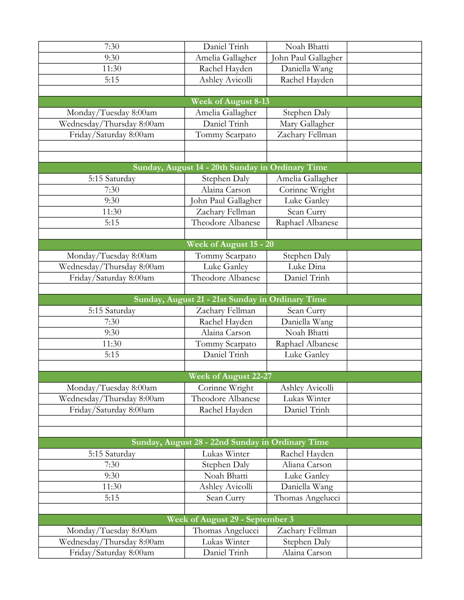| 7:30                      | Daniel Trinh                                     | Noah Bhatti         |  |
|---------------------------|--------------------------------------------------|---------------------|--|
| 9:30                      | Amelia Gallagher                                 | John Paul Gallagher |  |
| 11:30                     | Rachel Hayden                                    | Daniella Wang       |  |
| 5:15                      | Ashley Avicolli                                  | Rachel Hayden       |  |
|                           |                                                  |                     |  |
|                           | <b>Week of August 8-13</b>                       |                     |  |
| Monday/Tuesday 8:00am     | Amelia Gallagher                                 | Stephen Daly        |  |
| Wednesday/Thursday 8:00am | Daniel Trinh                                     | Mary Gallagher      |  |
| Friday/Saturday 8:00am    | Tommy Scarpato                                   | Zachary Fellman     |  |
|                           |                                                  |                     |  |
|                           |                                                  |                     |  |
|                           | Sunday, August 14 - 20th Sunday in Ordinary Time |                     |  |
| 5:15 Saturday             | Stephen Daly                                     | Amelia Gallagher    |  |
| 7:30                      | Alaina Carson                                    | Corinne Wright      |  |
| 9:30                      | ohn Paul Gallagher                               | Luke Ganley         |  |
| 11:30                     | Zachary Fellman                                  | Sean Curry          |  |
| 5:15                      | Theodore Albanese                                | Raphael Albanese    |  |
|                           |                                                  |                     |  |
|                           | Week of August 15 - 20                           |                     |  |
| Monday/Tuesday 8:00am     | Tommy Scarpato                                   | Stephen Daly        |  |
| Wednesday/Thursday 8:00am | Luke Ganley                                      | Luke Dina           |  |
| Friday/Saturday 8:00am    | Theodore Albanese                                | Daniel Trinh        |  |
|                           |                                                  |                     |  |
|                           | Sunday, August 21 - 21st Sunday in Ordinary Time |                     |  |
| 5:15 Saturday             | Zachary Fellman                                  | Sean Curry          |  |
| 7:30                      | Rachel Hayden                                    | Daniella Wang       |  |
| 9:30                      | Alaina Carson                                    | Noah Bhatti         |  |
| 11:30                     | Tommy Scarpato                                   | Raphael Albanese    |  |
| 5:15                      | Daniel Trinh                                     | Luke Ganley         |  |
|                           |                                                  |                     |  |
|                           | <b>Week of August 22-27</b>                      |                     |  |
| Monday/Tuesday 8:00am     | Corinne Wright                                   | Ashley Avicolli     |  |
| Wednesday/Thursday 8:00am | Theodore Albanese                                | Lukas Winter        |  |
| Friday/Saturday 8:00am    | Rachel Hayden                                    | Daniel Trinh        |  |
|                           |                                                  |                     |  |
|                           | Sunday, August 28 - 22nd Sunday in Ordinary Time |                     |  |
|                           | Lukas Winter                                     | Rachel Hayden       |  |
| 5:15 Saturday<br>7:30     | Stephen Daly                                     | Aliana Carson       |  |
| 9:30                      | Noah Bhatti                                      | Luke Ganley         |  |
| 11:30                     | <b>Ashley Avicolli</b>                           | Daniella Wang       |  |
| 5:15                      | Sean Curry                                       | Thomas Angelucci    |  |
|                           |                                                  |                     |  |
|                           | Week of August 29 - September 3                  |                     |  |
| Monday/Tuesday 8:00am     | Thomas Angelucci                                 | Zachary Fellman     |  |
| Wednesday/Thursday 8:00am | Lukas Winter                                     | Stephen Daly        |  |
| Friday/Saturday 8:00am    | Daniel Trinh                                     | Alaina Carson       |  |
|                           |                                                  |                     |  |